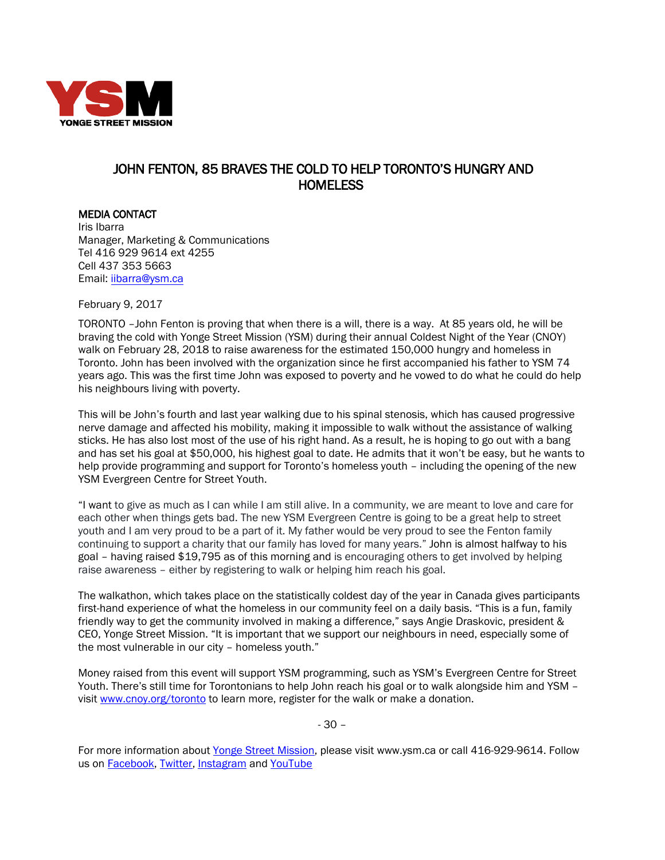

## JOHN FENTON, 85 BRAVES THE COLD TO HELP TORONTO'S HUNGRY AND HOMELESS

MEDIA CONTACT Iris Ibarra Manager, Marketing & Communications Tel 416 929 9614 ext 4255 Cell 437 353 5663 Email: [iibarra@ysm.ca](mailto:iibarra@ysm.ca) 

February 9, 2017

TORONTO –John Fenton is proving that when there is a will, there is a way. At 85 years old, he will be braving the cold with Yonge Street Mission (YSM) during their annual Coldest Night of the Year (CNOY) walk on February 28, 2018 to raise awareness for the estimated 150,000 hungry and homeless in Toronto. John has been involved with the organization since he first accompanied his father to YSM 74 years ago. This was the first time John was exposed to poverty and he vowed to do what he could do help his neighbours living with poverty.

This will be John's fourth and last year walking due to his spinal stenosis, which has caused progressive nerve damage and affected his mobility, making it impossible to walk without the assistance of walking sticks. He has also lost most of the use of his right hand. As a result, he is hoping to go out with a bang and has set his goal at \$50,000, his highest goal to date. He admits that it won't be easy, but he wants to help provide programming and support for Toronto's homeless youth – including the opening of the new YSM Evergreen Centre for Street Youth.

"I want to give as much as I can while I am still alive. In a community, we are meant to love and care for each other when things gets bad. The new YSM Evergreen Centre is going to be a great help to street youth and I am very proud to be a part of it. My father would be very proud to see the Fenton family continuing to support a charity that our family has loved for many years." John is almost halfway to his goal – having raised \$19,795 as of this morning and is encouraging others to get involved by helping raise awareness – either by registering to walk or helping him reach his goal.

The walkathon, which takes place on the statistically coldest day of the year in Canada gives participants first-hand experience of what the homeless in our community feel on a daily basis. "This is a fun, family friendly way to get the community involved in making a difference," says Angie Draskovic, president & CEO, Yonge Street Mission. "It is important that we support our neighbours in need, especially some of the most vulnerable in our city – homeless youth."

Money raised from this event will support YSM programming, such as YSM's Evergreen Centre for Street Youth. There's still time for Torontonians to help John reach his goal or to walk alongside him and YSM visit [www.cnoy.org/toronto](http://www.cnoy.org/toronto) to learn more, register for the walk or make a donation.

- 30 –

For more information about [Yonge Street Mission,](http://www.ysm.ca/) please visit www.ysm.ca or call 416-929-9614. Follow us on [Facebook,](https://www.facebook.com/YongeStreetMission/) [Twitter,](http://www.twitter.com/YSM_TO) Instagram and [YouTube](http://www.youtube.com/user/YongeStreetMission)